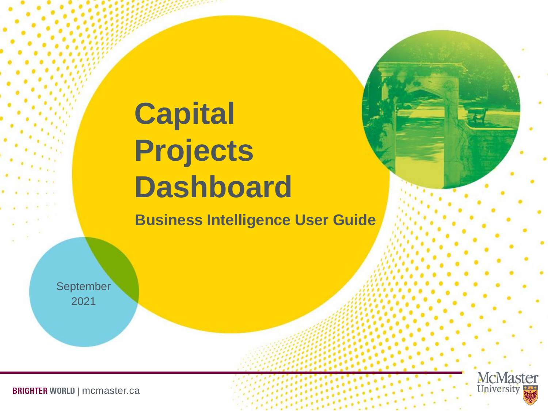# **Capital Projects Dashboard**

**Business Intelligence User Guide**

September 2021



**BRIGHTER WORLD | mcmaster.ca**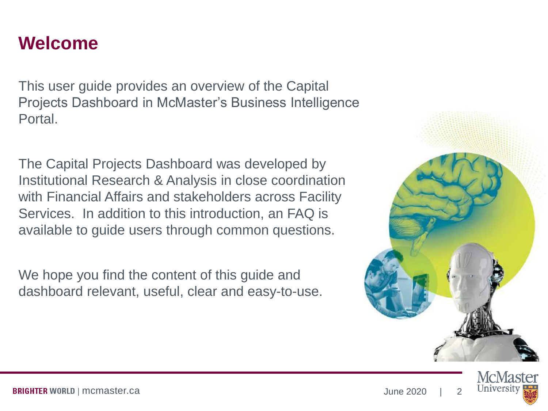#### **Welcome**

This user guide provides an overview of the Capital Projects Dashboard in McMaster's Business Intelligence Portal.

The Capital Projects Dashboard was developed by Institutional Research & Analysis in close coordination with Financial Affairs and stakeholders across Facility Services. In addition to this introduction, an FAQ is available to guide users through common questions.

We hope you find the content of this guide and dashboard relevant, useful, clear and easy-to-use.



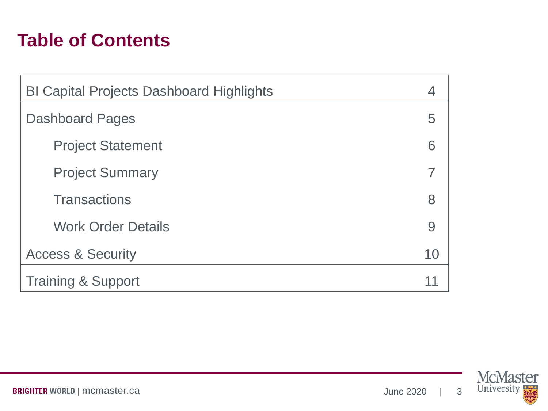#### **Table of Contents**

| <b>BI Capital Projects Dashboard Highlights</b> |    |  |  |  |  |  |  |
|-------------------------------------------------|----|--|--|--|--|--|--|
| <b>Dashboard Pages</b>                          |    |  |  |  |  |  |  |
| <b>Project Statement</b>                        | 6  |  |  |  |  |  |  |
| <b>Project Summary</b>                          |    |  |  |  |  |  |  |
| <b>Transactions</b>                             | 8  |  |  |  |  |  |  |
| <b>Work Order Details</b>                       | 9  |  |  |  |  |  |  |
| <b>Access &amp; Security</b>                    | 10 |  |  |  |  |  |  |
| <b>Training &amp; Support</b>                   |    |  |  |  |  |  |  |



**BRIGHTER WORLD | mcmaster.ca**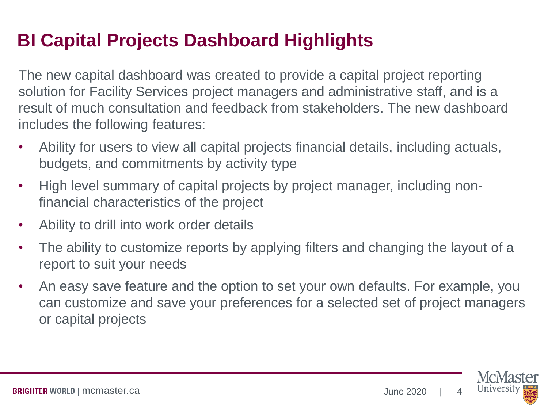### **BI Capital Projects Dashboard Highlights**

The new capital dashboard was created to provide a capital project reporting solution for Facility Services project managers and administrative staff, and is a result of much consultation and feedback from stakeholders. The new dashboard includes the following features:

- Ability for users to view all capital projects financial details, including actuals, budgets, and commitments by activity type
- High level summary of capital projects by project manager, including nonfinancial characteristics of the project
- Ability to drill into work order details
- The ability to customize reports by applying filters and changing the layout of a report to suit your needs
- An easy save feature and the option to set your own defaults. For example, you can customize and save your preferences for a selected set of project managers or capital projects

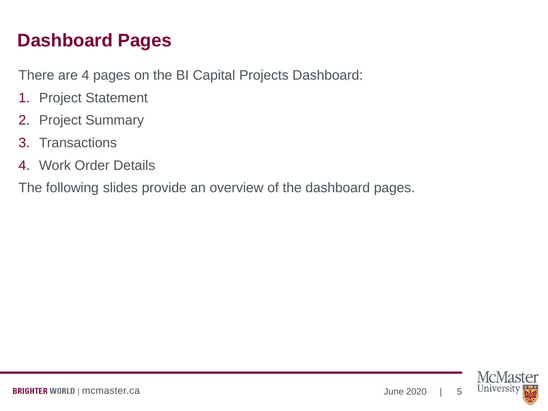### **Dashboard Pages**

There are 4 pages on the BI Capital Projects Dashboard:

- 1. Project Statement
- 2. Project Summary
- 3. Transactions
- 4. Work Order Details

The following slides provide an overview of the dashboard pages.

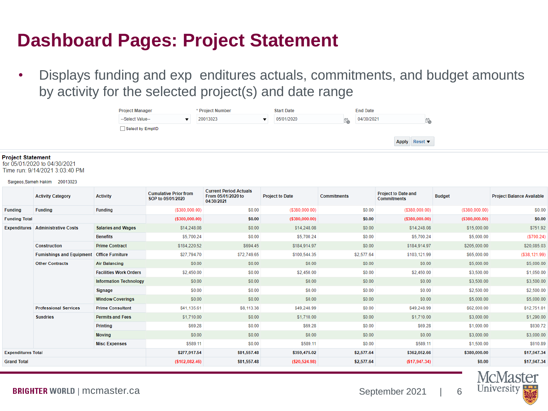#### **Dashboard Pages: Project Statement**

• Displays funding and exp enditures actuals, commitments, and budget amounts by activity for the selected project(s) and date range

| <b>Project Manager</b> | * Project Number | <b>Start Date</b> |    | <b>End Date</b> |               |                |
|------------------------|------------------|-------------------|----|-----------------|---------------|----------------|
| --Select Value--       | 20013023         | 05/01/2020        | İ. | 04/30/2021      |               | والمسالم<br>10 |
| Select by EmplID       |                  |                   |    |                 |               |                |
|                        |                  |                   |    |                 | Apply Reset ▼ |                |
|                        |                  |                   |    |                 |               |                |

#### **Project Statement**

for 05/01/2020 to 04/30/2021 Time run: 9/14/2021 3:03:40 PM

#### Sargeos, Sameh Hakim 20013023

|                           | <b>Activity Category</b>                 | <b>Activity</b>               | <b>Cumulative Prior from</b><br>SOP to 05/01/2020 | <b>Current Period Actuals</b><br>From 05/01/2020 to<br>04/30/2021 | <b>Project to Date</b> | <b>Commitments</b> | <b>Project to Date and</b><br><b>Commitments</b> | <b>Budget</b>     | <b>Project Balance Available</b> |
|---------------------------|------------------------------------------|-------------------------------|---------------------------------------------------|-------------------------------------------------------------------|------------------------|--------------------|--------------------------------------------------|-------------------|----------------------------------|
| <b>Funding</b>            | <b>Funding</b>                           | <b>Funding</b>                | $($ \$380,000.00)                                 | \$0.00                                                            | $($ \$380,000.00)      | \$0.00             | $($ \$380,000.00)                                | $($ \$380,000.00) | \$0.00                           |
| <b>Funding Total</b>      |                                          |                               | $($ \$380,000.00)                                 | \$0.00                                                            | $($ \$380,000.00)      | \$0.00             | ( \$380,000.00)                                  | $($ \$380,000.00) | \$0.00                           |
|                           | <b>Expenditures</b> Administrative Costs | <b>Salaries and Wages</b>     | \$14,248.08                                       | \$0.00                                                            | \$14,248.08            | \$0.00             | \$14,248.08                                      | \$15,000.00       | \$751.92                         |
|                           |                                          | <b>Benefits</b>               | \$5,700.24                                        | \$0.00                                                            | \$5,700.24             | \$0.00             | \$5,700.24                                       | \$5,000.00        | ( \$700.24)                      |
|                           | <b>Construction</b>                      | <b>Prime Contract</b>         | \$184,220.52                                      | \$694.45                                                          | \$184,914.97           | \$0.00             | \$184,914.97                                     | \$205,000.00      | \$20,085.03                      |
|                           | <b>Furnishings and Equipment</b>         | <b>Office Furniture</b>       |                                                   | \$72,749.65                                                       | \$100,544.35           | \$2,577.64         | \$103,121.99                                     | \$65,000.00       | ( \$38, 121.99)                  |
|                           | <b>Other Contracts</b>                   | <b>Air Balancing</b>          | \$0.00                                            | \$0.00                                                            | \$0.00                 | \$0.00             | \$0.00                                           | \$5,000.00        | \$5,000.00                       |
|                           |                                          | <b>Facilities Work Orders</b> | \$2,450.00                                        | \$0.00                                                            | \$2,450.00             | \$0.00             | \$2,450.00                                       | \$3,500.00        | \$1,050.00                       |
|                           |                                          | <b>Information Technology</b> | \$0.00                                            | \$0.00                                                            | \$0.00                 | \$0.00             | \$0.00                                           | \$3,500.00        | \$3,500.00                       |
|                           |                                          | <b>Signage</b>                | \$0.00                                            | \$0.00                                                            | \$0.00                 | \$0.00             | \$0.00                                           | \$2,500.00        | \$2,500.00                       |
|                           |                                          | <b>Window Coverings</b>       | \$0.00                                            | \$0.00                                                            | \$0.00                 | \$0.00             | \$0.00                                           | \$5,000.00        | \$5,000.00                       |
|                           | <b>Professional Services</b>             | <b>Prime Consultant</b>       | \$41,135.61                                       | \$8,113.38                                                        | \$49,248.99            | \$0.00             | \$49,248.99                                      | \$62,000.00       | \$12,751.01                      |
|                           | <b>Sundries</b>                          | <b>Permits and Fees</b>       | \$1,710.00                                        | \$0.00                                                            | \$1,710.00             | \$0.00             | \$1,710.00                                       | \$3,000.00        | \$1,290.00                       |
|                           |                                          | <b>Printing</b>               | \$69.28                                           | \$0.00                                                            | \$69.28                | \$0.00             | \$69.28                                          | \$1,000.00        | \$930.72                         |
|                           |                                          | <b>Moving</b>                 | \$0.00                                            | \$0.00                                                            | \$0.00                 | \$0.00             | \$0.00                                           | \$3,000.00        | \$3,000.00                       |
|                           |                                          | <b>Misc Expenses</b>          | \$589.11                                          | \$0.00                                                            | \$589.11               | \$0.00             | \$589.11                                         | \$1,500.00        | \$910.89                         |
| <b>Expenditures Total</b> |                                          |                               | \$277,917.54                                      | \$81,557.48                                                       | \$359,475.02           | \$2,577.64         | \$362,052.66                                     | \$380,000.00      | \$17,947.34                      |
| <b>Grand Total</b>        |                                          |                               | (\$102,082.46)                                    | \$81,557.48                                                       | ( \$20,524.98)         | \$2,577.64         | ( \$17, 947.34)                                  | \$0.00            | \$17,947.34                      |

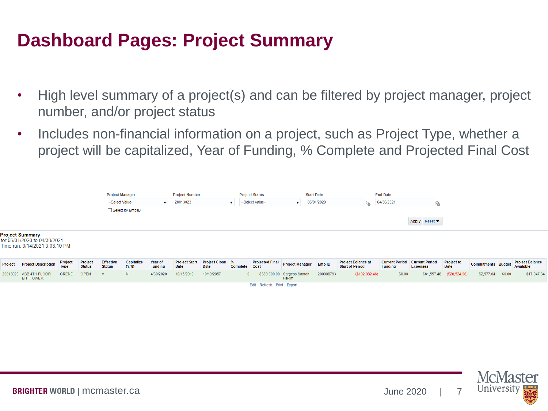#### **Dashboard Pages: Project Summary**

- High level summary of a project(s) and can be filtered by project manager, project number, and/or project status
- Includes non-financial information on a project, such as Project Type, whether a project will be capitalized, Year of Funding, % Complete and Projected Final Cost



Edit - Refresh - Print - Export

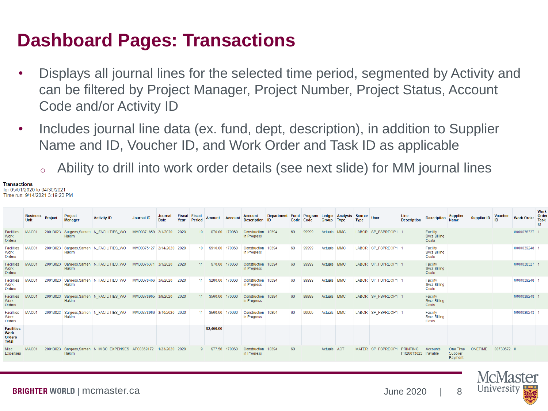#### **Dashboard Pages: Transactions**

- Displays all journal lines for the selected time period, segmented by Activity and can be filtered by Project Manager, Project Number, Project Status, Account Code and/or Activity ID
- Includes journal line data (ex. fund, dept, description), in addition to Supplier Name and ID, Voucher ID, and Work Order and Task ID as applicable
	- <sup>o</sup> Ability to drill into work order details (see next slide) for MM journal lines

**Transactions** or 05/01/2020 to 04/30/2021 me run: 9/14/2021 3:19:20 PM

|                                                                   | <b>Business</b><br>Unit | Project  | Project<br><b>Manager</b> | <b>Activity ID</b>                        | <b>Journal ID</b>         | Journal<br>Date | <b>Fiscal</b><br>Year | Fiscal<br>Period | Amount          | <b>Account</b> | <b>Account</b><br><b>Description</b> | <b>Department</b><br><b>ID</b> | Code Code | <b>Fund Program</b> | Group       | Ledger Analysis Source<br><b>Type</b> | <b>Type</b> | <b>User</b>         | Line<br><b>Description</b>            | <b>Description</b>                       | <b>Supplier</b><br><b>Name</b>  | <b>Supplier ID</b> | <b>Voucher</b><br>ID | <b>Work Order</b> | Work<br>Orde<br>Task<br>ID |
|-------------------------------------------------------------------|-------------------------|----------|---------------------------|-------------------------------------------|---------------------------|-----------------|-----------------------|------------------|-----------------|----------------|--------------------------------------|--------------------------------|-----------|---------------------|-------------|---------------------------------------|-------------|---------------------|---------------------------------------|------------------------------------------|---------------------------------|--------------------|----------------------|-------------------|----------------------------|
| <b>Facilities</b><br>Work<br>Orders                               | MAC0 <sup>-</sup>       | 20013023 | Hakim                     | Sargeos, Sameh N FACILITIES WO            | MM00371859 2/1/2020       |                 | 2020                  | 10 <sup>1</sup>  | \$70.00 170060  |                | Construction 10394<br>in Progress    |                                | 60        | 99999               | Actuals MMC |                                       |             | LABOR SP FSPRDOP1   |                                       | Facility<br><b>Svcs Billing</b><br>Costs |                                 |                    |                      | 0000038327 1      |                            |
| <b>Facilities</b><br>Work<br>Orders                               | <b>MAC0</b>             |          | Hakim                     | 20013023 Sargeos, Sameh N_FACILITIES_WO   | MM00375127 2/14/2020 2020 |                 |                       |                  | 10 \$910.00     | 170060         | Construction 10394<br>in Progress    |                                | 60        | 99999               | Actuals MMC |                                       |             | LABOR SP_FSPRDOP1   |                                       | Facility<br><b>Svcs Billing</b><br>Costs |                                 |                    |                      | 0000039248 1      |                            |
| <b>Facilities</b><br>Work<br>Orders                               | MAC0 <sup>-</sup>       | 20013023 | Hakim                     | Sargeos, Sameh N FACILITIES WO            | MM00376371 3/1/2020       |                 | 2020                  | 11               | \$70.00         | 170060         | Construction 10394<br>in Progress    |                                | 60        | 99999               | Actuals MMC |                                       |             | LABOR SP FSPRDOP1 1 |                                       | Facility<br><b>Svcs Billing</b><br>Costs |                                 |                    |                      | 0000038327 1      |                            |
| <b>Facilities</b><br>Work<br>Orders                               | <b>MAC0</b>             | 20013023 | Hakim                     | Sargeos, Sameh N_FACILITIES_WO            | MM00378466 3/6/2020       |                 | 2020                  | 11 <sup>1</sup>  | \$280.00        | 170060         | Construction 10394<br>in Progress    |                                | 60        | 99999               | Actuals MMC |                                       |             | LABOR SP_FSPRDOP1 1 |                                       | Facility<br><b>Svcs Billing</b><br>Costs |                                 |                    |                      | 0000039248 1      |                            |
| Facilities<br>Work<br>Orders                                      | <b>MAC0</b>             | 20013023 | Hakim                     | Sargeos, Sameh N FACILITIES WO            | MM00378965 3/9/2020       |                 | 2020                  | 11               | \$560.00 170060 |                | Construction 10394<br>in Progress    |                                | 60        | 99999               | Actuals MMC |                                       |             | LABOR SP FSPRDOP1   |                                       | Facility<br><b>Svcs Billing</b><br>Costs |                                 |                    |                      | 0000039248 1      |                            |
| <b>Facilities</b><br>Work<br>Orders                               | MAC01                   | 20013023 | <b>Hakim</b>              | Sargeos, Sameh N_FACILITIES_WO            | MM00378966 3/10/2020 2020 |                 |                       | 11               | \$560.00        | 170060         | Construction 10394<br>in Progress    |                                | 60        | 99999               | Actuals MMC |                                       |             | LABOR SP_FSPRDOP1   |                                       | Facility<br><b>Svcs Billing</b><br>Costs |                                 |                    |                      | 0000039248        |                            |
| <b>Facilities</b><br><b>Work</b><br><b>Orders</b><br><b>Total</b> |                         |          |                           |                                           |                           |                 |                       |                  | \$2,450,00      |                |                                      |                                |           |                     |             |                                       |             |                     |                                       |                                          |                                 |                    |                      |                   |                            |
| <b>Misc</b><br>Expenses                                           | MAC01                   | 20013023 | Hakim                     | Sargeos, Sameh N MISC EXPENSES AP00369172 |                           | 1/23/2020 2020  |                       | 9                | \$77.56         | 170060         | Construction 10394<br>in Progress    |                                | 60        |                     | Actuals ACT |                                       |             | MATER SP FSPRDOP1   | <b>PRINTING</b><br>PR20013023 Payable | Accounts                                 | One Time<br>Supplier<br>Payment | ONETIME            | 00730672 0           |                   |                            |
|                                                                   |                         |          |                           |                                           |                           |                 |                       |                  |                 |                |                                      |                                |           |                     |             |                                       |             |                     |                                       |                                          |                                 |                    |                      |                   |                            |

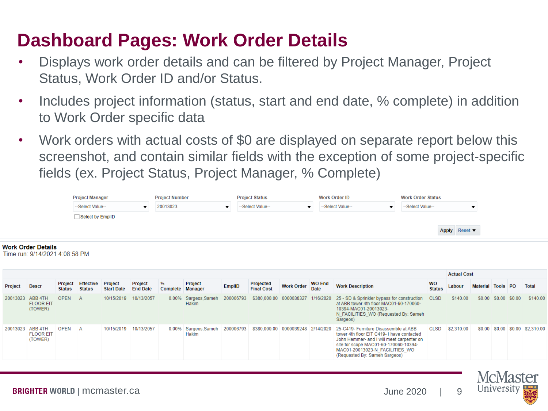#### **Dashboard Pages: Work Order Details**

- Displays work order details and can be filtered by Project Manager, Project Status, Work Order ID and/or Status.
- Includes project information (status, start and end date, % complete) in addition to Work Order specific data
- Work orders with actual costs of \$0 are displayed on separate report below this screenshot, and contain similar fields with the exception of some project-specific fields (ex. Project Status, Project Manager, % Complete)

| <b>Project Manager</b> | <b>Project Number</b> | <b>Project Status</b> | <b>Work Order ID</b> | <b>Work Order Status</b> |
|------------------------|-----------------------|-----------------------|----------------------|--------------------------|
| --Select Value--       | 20013023              | --Select Value--      | --Select Value-      | --Select Value-          |
| Select by EmplID       |                       |                       |                      |                          |
|                        |                       |                       |                      | Apply Reset ▼            |
|                        |                       |                       |                      |                          |

#### **Work Order Details**

Time run: 9/14/2021 4:08:58 PM

|                  |                                        |                          |                                   |                              |                            |                       |                               |           |                                |                         | <b>Actual Cost</b>           |                                                                                                                                                                                                                                             |                            |            |                   |                      |  |                                 |
|------------------|----------------------------------------|--------------------------|-----------------------------------|------------------------------|----------------------------|-----------------------|-------------------------------|-----------|--------------------------------|-------------------------|------------------------------|---------------------------------------------------------------------------------------------------------------------------------------------------------------------------------------------------------------------------------------------|----------------------------|------------|-------------------|----------------------|--|---------------------------------|
| Project          | <b>Descr</b>                           | Project<br><b>Status</b> | <b>Effective</b><br><b>Status</b> | Project<br><b>Start Date</b> | Project<br><b>End Date</b> | %<br>Complete Manager | Project                       | EmplID    | Projected<br><b>Final Cost</b> | <b>Work Order</b>       | <b>WO End</b><br><b>Date</b> | <b>Work Description</b>                                                                                                                                                                                                                     | <b>WO</b><br><b>Status</b> | Labour     | Material Tools PO |                      |  | Total                           |
| 20013023         | ABB 4TH<br><b>FLOOR EIT</b><br>(TOWER) | <b>OPEN</b>              | AA                                | 10/15/2019                   | 10/13/2057                 |                       | 0.00% Sargeos, Sameh<br>Hakim | 200006793 |                                | \$380,000.00 0000038327 |                              | 1/16/2020 25 - SD & Sprinkler bypass for construction<br>at ABB tower 4th floor MAC01-60-170060-<br>10394-MAC01-20013023-<br>N FACILITIES WO (Requested By: Sameh<br>Sargeos)                                                               | <b>CLSD</b>                | \$140.00   |                   | \$0.00 \$0.00 \$0.00 |  | \$140.00                        |
| 20013023 ABB 4TH | <b>FLOOR EIT</b><br>(TOWER)            | <b>OPEN</b>              | <b>A</b>                          | 10/15/2019                   | 10/13/2057                 | $0.00\%$              | Sargeos.Sameh<br>Hakim        | 200006793 | \$380,000.00                   | 0000039248 2/14/2020    |                              | 25-C419- Furniture Disassemble at ABB<br>tower 4th floor EIT C419-1 have contacted<br>John Hemmer- and I will meet carpenter on<br>site for scope MAC01-60-170060-10394-<br>MAC01-20013023-N FACILITIES WO<br>(Requested By: Sameh Sargeos) | <b>CLSD</b>                | \$2,310.00 |                   |                      |  | \$0.00 \$0.00 \$0.00 \$2,310.00 |



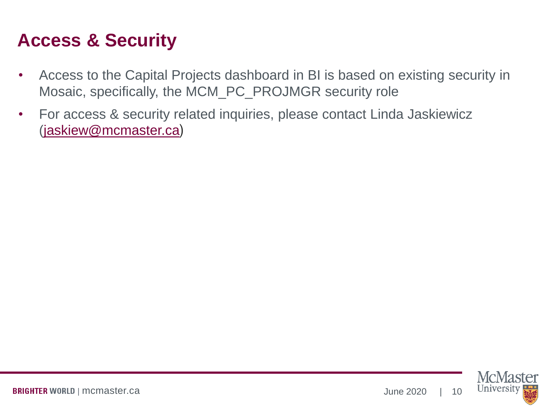### **Access & Security**

- Access to the Capital Projects dashboard in BI is based on existing security in Mosaic, specifically, the MCM\_PC\_PROJMGR security role
- For access & security related inquiries, please contact Linda Jaskiewicz [\(jaskiew@mcmaster.ca](mailto:jaskiew@mcmaster.ca))